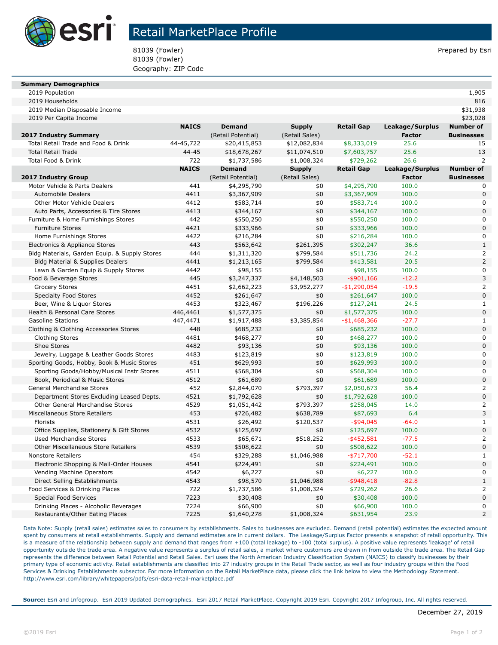

## Retail MarketPlace Profile

81039 (Fowler) 81039 (Fowler) and the state of the state of the state of the state of the state of the state of the state of the state of the state of the state of the state of the state of the state of the state of the st 81039 (Fowler) Geography: ZIP Code

| <b>Summary Demographics</b>                   |              |                    |                |                   |                 |                   |
|-----------------------------------------------|--------------|--------------------|----------------|-------------------|-----------------|-------------------|
| 2019 Population                               |              |                    |                |                   |                 | 1,905             |
| 2019 Households                               |              |                    |                |                   |                 | 816               |
| 2019 Median Disposable Income                 |              |                    |                |                   |                 | \$31,938          |
| 2019 Per Capita Income                        |              |                    |                |                   |                 | \$23,028          |
|                                               | <b>NAICS</b> | <b>Demand</b>      | <b>Supply</b>  | <b>Retail Gap</b> | Leakage/Surplus | <b>Number of</b>  |
| <b>2017 Industry Summary</b>                  |              | (Retail Potential) | (Retail Sales) |                   | <b>Factor</b>   | <b>Businesses</b> |
| Total Retail Trade and Food & Drink           | 44-45,722    | \$20,415,853       | \$12,082,834   | \$8,333,019       | 25.6            | 15                |
| <b>Total Retail Trade</b>                     | $44 - 45$    | \$18,678,267       | \$11,074,510   | \$7,603,757       | 25.6            | 13                |
| Total Food & Drink                            | 722          | \$1,737,586        | \$1,008,324    | \$729,262         | 26.6            | 2                 |
|                                               | <b>NAICS</b> | <b>Demand</b>      | <b>Supply</b>  | <b>Retail Gap</b> | Leakage/Surplus | <b>Number of</b>  |
| <b>2017 Industry Group</b>                    |              | (Retail Potential) | (Retail Sales) |                   | <b>Factor</b>   | <b>Businesses</b> |
| Motor Vehicle & Parts Dealers                 | 441          | \$4,295,790        | \$0            | \$4,295,790       | 100.0           |                   |
| <b>Automobile Dealers</b>                     | 4411         | \$3,367,909        | \$0            | \$3,367,909       | 100.0           | 0                 |
| Other Motor Vehicle Dealers                   | 4412         | \$583,714          | \$0            | \$583,714         | 100.0           | 0                 |
| Auto Parts, Accessories & Tire Stores         | 4413         | \$344,167          | \$0            | \$344,167         | 100.0           | 0                 |
| Furniture & Home Furnishings Stores           | 442          | \$550,250          | \$0            | \$550,250         | 100.0           | 0                 |
| <b>Furniture Stores</b>                       | 4421         | \$333,966          | \$0            | \$333,966         | 100.0           | 0                 |
| Home Furnishings Stores                       | 4422         | \$216,284          | \$0            | \$216,284         | 100.0           | 0                 |
| Electronics & Appliance Stores                | 443          | \$563,642          | \$261,395      | \$302,247         | 36.6            | 1                 |
| Bldg Materials, Garden Equip. & Supply Stores | 444          | \$1,311,320        | \$799,584      | \$511,736         | 24.2            | $\overline{2}$    |
| <b>Bldg Material &amp; Supplies Dealers</b>   | 4441         | \$1,213,165        | \$799,584      | \$413,581         | 20.5            | 2                 |
| Lawn & Garden Equip & Supply Stores           | 4442         | \$98,155           | \$0            | \$98,155          | 100.0           | 0                 |
| Food & Beverage Stores                        | 445          | \$3,247,337        | \$4,148,503    | $-$ \$901,166     | $-12.2$         | 3                 |
| <b>Grocery Stores</b>                         | 4451         | \$2,662,223        | \$3,952,277    | $-$1,290,054$     | $-19.5$         | 2                 |
| <b>Specialty Food Stores</b>                  | 4452         | \$261,647          | \$0            | \$261,647         | 100.0           | 0                 |
| Beer, Wine & Liguor Stores                    | 4453         | \$323,467          | \$196,226      | \$127,241         | 24.5            | 1                 |
| Health & Personal Care Stores                 | 446,4461     | \$1,577,375        | \$0            | \$1,577,375       | 100.0           | 0                 |
| <b>Gasoline Stations</b>                      | 447,4471     | \$1,917,488        | \$3,385,854    | $-$1,468,366$     | $-27.7$         | 1                 |

| Beer, wine & Liquor Stores                 | 4453     | \$323,467   | \$196,226   | \$127,241     | 24.5    |             |
|--------------------------------------------|----------|-------------|-------------|---------------|---------|-------------|
| Health & Personal Care Stores              | 446,4461 | \$1,577,375 | \$0         | \$1,577,375   | 100.0   | 0           |
| <b>Gasoline Stations</b>                   | 447,4471 | \$1,917,488 | \$3,385,854 | $-$1,468,366$ | $-27.7$ |             |
| Clothing & Clothing Accessories Stores     | 448      | \$685,232   | \$0         | \$685,232     | 100.0   | 0           |
| Clothing Stores                            | 4481     | \$468,277   | \$0         | \$468,277     | 100.0   | 0           |
| Shoe Stores                                | 4482     | \$93,136    | \$0         | \$93,136      | 100.0   | $\mathbf 0$ |
| Jewelry, Luggage & Leather Goods Stores    | 4483     | \$123,819   | \$0         | \$123,819     | 100.0   | 0           |
| Sporting Goods, Hobby, Book & Music Stores | 451      | \$629,993   | \$0         | \$629,993     | 100.0   | $\mathbf 0$ |
| Sporting Goods/Hobby/Musical Instr Stores  | 4511     | \$568,304   | \$0         | \$568,304     | 100.0   | 0           |
| Book, Periodical & Music Stores            | 4512     | \$61,689    | \$0         | \$61,689      | 100.0   | 0           |
| <b>General Merchandise Stores</b>          | 452      | \$2,844,070 | \$793,397   | \$2,050,673   | 56.4    |             |
| Department Stores Excluding Leased Depts.  | 4521     | \$1,792,628 | \$0         | \$1,792,628   | 100.0   | 0           |
| Other General Merchandise Stores           | 4529     | \$1,051,442 | \$793,397   | \$258,045     | 14.0    | 2           |
| Miscellaneous Store Retailers              | 453      | \$726,482   | \$638,789   | \$87,693      | 6.4     | 3           |
| Florists                                   | 4531     | \$26,492    | \$120,537   | $-$ \$94,045  | $-64.0$ |             |
| Office Supplies, Stationery & Gift Stores  | 4532     | \$125,697   | \$0         | \$125,697     | 100.0   | 0           |
| <b>Used Merchandise Stores</b>             | 4533     | \$65,671    | \$518,252   | $-$ \$452,581 | $-77.5$ | 2           |
| Other Miscellaneous Store Retailers        | 4539     | \$508,622   | \$0         | \$508,622     | 100.0   | 0           |
| <b>Nonstore Retailers</b>                  | 454      | \$329,288   | \$1,046,988 | -\$717,700    | $-52.1$ |             |
| Electronic Shopping & Mail-Order Houses    | 4541     | \$224,491   | \$0         | \$224,491     | 100.0   | 0           |
| Vending Machine Operators                  | 4542     | \$6,227     | \$0         | \$6,227       | 100.0   | 0           |
| Direct Selling Establishments              | 4543     | \$98,570    | \$1,046,988 | $-$ \$948,418 | $-82.8$ |             |
| Food Services & Drinking Places            | 722      | \$1,737,586 | \$1,008,324 | \$729,262     | 26.6    |             |
| Special Food Services                      | 7223     | \$30,408    | \$0         | \$30,408      | 100.0   | 0           |
| Drinking Places - Alcoholic Beverages      | 7224     | \$66,900    | \$0         | \$66,900      | 100.0   | 0           |
| Restaurants/Other Eating Places            | 7225     | \$1,640,278 | \$1,008,324 | \$631,954     | 23.9    | 2           |

Data Note: Supply (retail sales) estimates sales to consumers by establishments. Sales to businesses are excluded. Demand (retail potential) estimates the expected amount spent by consumers at retail establishments. Supply and demand estimates are in current dollars. The Leakage/Surplus Factor presents a snapshot of retail opportunity. This is a measure of the relationship between supply and demand that ranges from +100 (total leakage) to -100 (total surplus). A positive value represents 'leakage' of retail opportunity outside the trade area. A negative value represents a surplus of retail sales, a market where customers are drawn in from outside the trade area. The Retail Gap represents the difference between Retail Potential and Retail Sales. Esri uses the North American Industry Classification System (NAICS) to classify businesses by their primary type of economic activity. Retail establishments are classified into 27 industry groups in the Retail Trade sector, as well as four industry groups within the Food Services & Drinking Establishments subsector. For more information on the Retail MarketPlace data, please click the link below to view the Methodology Statement. http://www.esri.com/library/whitepapers/pdfs/esri-data-retail-marketplace.pdf

**Source:** Esri and Infogroup. Esri 2019 Updated Demographics. Esri 2017 Retail MarketPlace. Copyright 2019 Esri. Copyright 2017 Infogroup, Inc. All rights reserved.